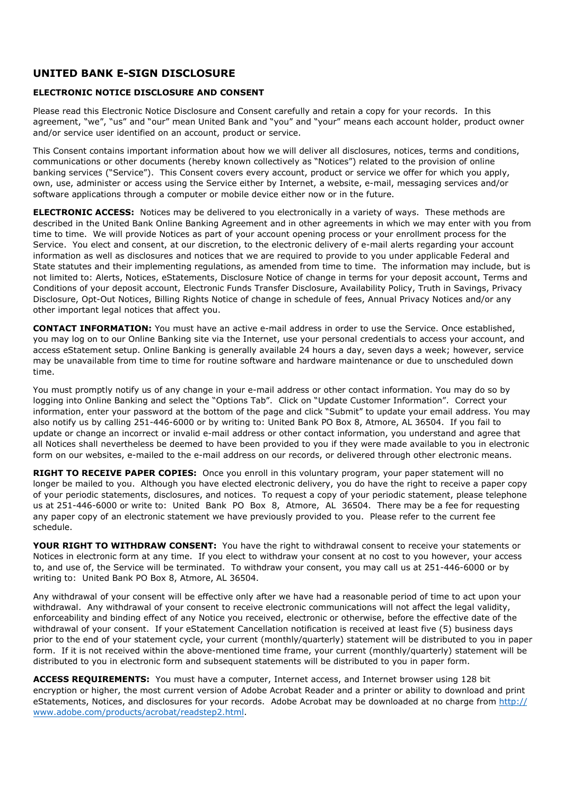## **UNITED BANK E-SIGN DISCLOSURE**

## **ELECTRONIC NOTICE DISCLOSURE AND CONSENT**

Please read this Electronic Notice Disclosure and Consent carefully and retain a copy for your records. In this agreement, "we", "us" and "our" mean United Bank and "you" and "your" means each account holder, product owner and/or service user identified on an account, product or service.

This Consent contains important information about how we will deliver all disclosures, notices, terms and conditions, communications or other documents (hereby known collectively as "Notices") related to the provision of online banking services ("Service"). This Consent covers every account, product or service we offer for which you apply, own, use, administer or access using the Service either by Internet, a website, e-mail, messaging services and/or software applications through a computer or mobile device either now or in the future.

**ELECTRONIC ACCESS:** Notices may be delivered to you electronically in a variety of ways. These methods are described in the United Bank Online Banking Agreement and in other agreements in which we may enter with you from time to time. We will provide Notices as part of your account opening process or your enrollment process for the Service. You elect and consent, at our discretion, to the electronic delivery of e-mail alerts regarding your account information as well as disclosures and notices that we are required to provide to you under applicable Federal and State statutes and their implementing regulations, as amended from time to time. The information may include, but is not limited to: Alerts, Notices, eStatements, Disclosure Notice of change in terms for your deposit account, Terms and Conditions of your deposit account, Electronic Funds Transfer Disclosure, Availability Policy, Truth in Savings, Privacy Disclosure, Opt-Out Notices, Billing Rights Notice of change in schedule of fees, Annual Privacy Notices and/or any other important legal notices that affect you.

**CONTACT INFORMATION:** You must have an active e-mail address in order to use the Service. Once established, you may log on to our Online Banking site via the Internet, use your personal credentials to access your account, and access eStatement setup. Online Banking is generally available 24 hours a day, seven days a week; however, service may be unavailable from time to time for routine software and hardware maintenance or due to unscheduled down time.

You must promptly notify us of any change in your e-mail address or other contact information. You may do so by logging into Online Banking and select the "Options Tab". Click on "Update Customer Information". Correct your information, enter your password at the bottom of the page and click "Submit" to update your email address. You may also notify us by calling 251-446-6000 or by writing to: United Bank PO Box 8, Atmore, AL 36504. If you fail to update or change an incorrect or invalid e-mail address or other contact information, you understand and agree that all Notices shall nevertheless be deemed to have been provided to you if they were made available to you in electronic form on our websites, e-mailed to the e-mail address on our records, or delivered through other electronic means.

**RIGHT TO RECEIVE PAPER COPIES:** Once you enroll in this voluntary program, your paper statement will no longer be mailed to you. Although you have elected electronic delivery, you do have the right to receive a paper copy of your periodic statements, disclosures, and notices. To request a copy of your periodic statement, please telephone us at 251-446-6000 or write to: United Bank PO Box 8, Atmore, AL 36504. There may be a fee for requesting any paper copy of an electronic statement we have previously provided to you. Please refer to the current fee schedule.

**YOUR RIGHT TO WITHDRAW CONSENT:** You have the right to withdrawal consent to receive your statements or Notices in electronic form at any time. If you elect to withdraw your consent at no cost to you however, your access to, and use of, the Service will be terminated. To withdraw your consent, you may call us at 251-446-6000 or by writing to: United Bank PO Box 8, Atmore, AL 36504.

Any withdrawal of your consent will be effective only after we have had a reasonable period of time to act upon your withdrawal. Any withdrawal of your consent to receive electronic communications will not affect the legal validity, enforceability and binding effect of any Notice you received, electronic or otherwise, before the effective date of the withdrawal of your consent. If your eStatement Cancellation notification is received at least five (5) business days prior to the end of your statement cycle, your current (monthly/quarterly) statement will be distributed to you in paper form. If it is not received within the above-mentioned time frame, your current (monthly/quarterly) statement will be distributed to you in electronic form and subsequent statements will be distributed to you in paper form.

**ACCESS REQUIREMENTS:** You must have a computer, Internet access, and Internet browser using 128 bit encryption or higher, the most current version of Adobe Acrobat Reader and a printer or ability to download and print eStatements, Notices, and disclosures for your records. Adobe Acrobat may be downloaded at no charge from http:// <www.adobe.com/products/acrobat/readstep2.html>.